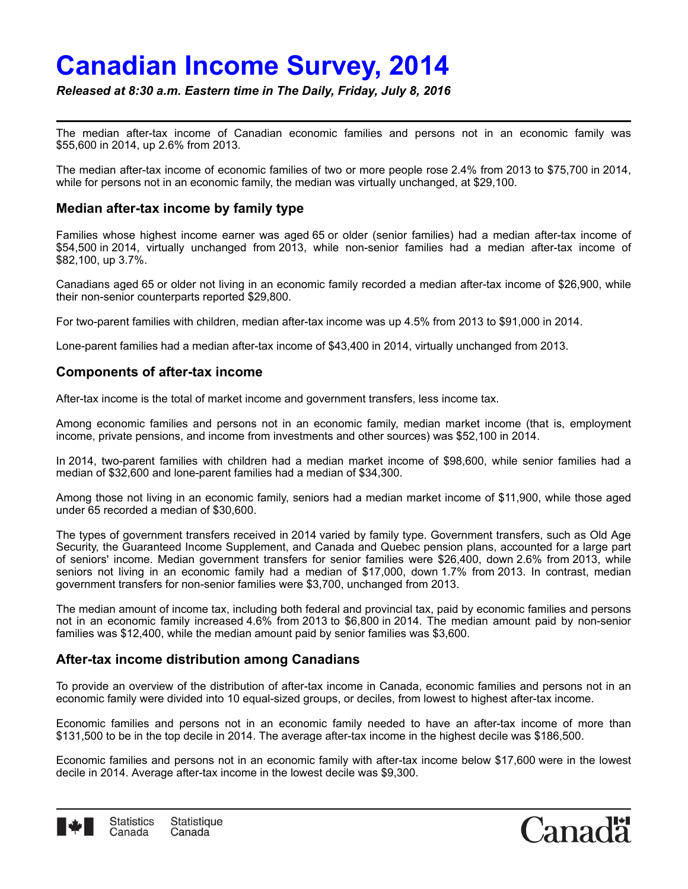# **Canadian Income Survey, 2014**

*Released at 8:30 a.m. Eastern time in The Daily, Friday, July 8, 2016*

The median after-tax income of Canadian economic families and persons not in an economic family was \$55,600 in 2014, up 2.6% from 2013.

The median after-tax income of economic families of two or more people rose 2.4% from 2013 to \$75,700 in 2014, while for persons not in an economic family, the median was virtually unchanged, at \$29,100.

## **Median after-tax income by family type**

Families whose highest income earner was aged 65 or older (senior families) had a median after-tax income of \$54,500 in 2014, virtually unchanged from 2013, while non-senior families had a median after-tax income of \$82,100, up 3.7%.

Canadians aged 65 or older not living in an economic family recorded a median after-tax income of \$26,900, while their non-senior counterparts reported \$29,800.

For two-parent families with children, median after-tax income was up 4.5% from 2013 to \$91,000 in 2014.

Lone-parent families had a median after-tax income of \$43,400 in 2014, virtually unchanged from 2013.

## **Components of after-tax income**

After-tax income is the total of market income and government transfers, less income tax.

Among economic families and persons not in an economic family, median market income (that is, employment income, private pensions, and income from investments and other sources) was \$52,100 in 2014.

In 2014, two-parent families with children had a median market income of \$98,600, while senior families had a median of \$32,600 and lone-parent families had a median of \$34,300.

Among those not living in an economic family, seniors had a median market income of \$11,900, while those aged under 65 recorded a median of \$30,600.

The types of government transfers received in 2014 varied by family type. Government transfers, such as Old Age Security, the Guaranteed Income Supplement, and Canada and Quebec pension plans, accounted for a large part of seniors' income. Median government transfers for senior families were \$26,400, down 2.6% from 2013, while seniors not living in an economic family had a median of \$17,000, down 1.7% from 2013. In contrast, median government transfers for non-senior families were \$3,700, unchanged from 2013.

The median amount of income tax, including both federal and provincial tax, paid by economic families and persons not in an economic family increased 4.6% from 2013 to \$6,800 in 2014. The median amount paid by non-senior families was \$12,400, while the median amount paid by senior families was \$3,600.

## **After-tax income distribution among Canadians**

To provide an overview of the distribution of after-tax income in Canada, economic families and persons not in an economic family were divided into 10 equal-sized groups, or deciles, from lowest to highest after-tax income.

Economic families and persons not in an economic family needed to have an after-tax income of more than \$131,500 to be in the top decile in 2014. The average after-tax income in the highest decile was \$186,500.

Economic families and persons not in an economic family with after-tax income below \$17,600 were in the lowest decile in 2014. Average after-tax income in the lowest decile was \$9,300.



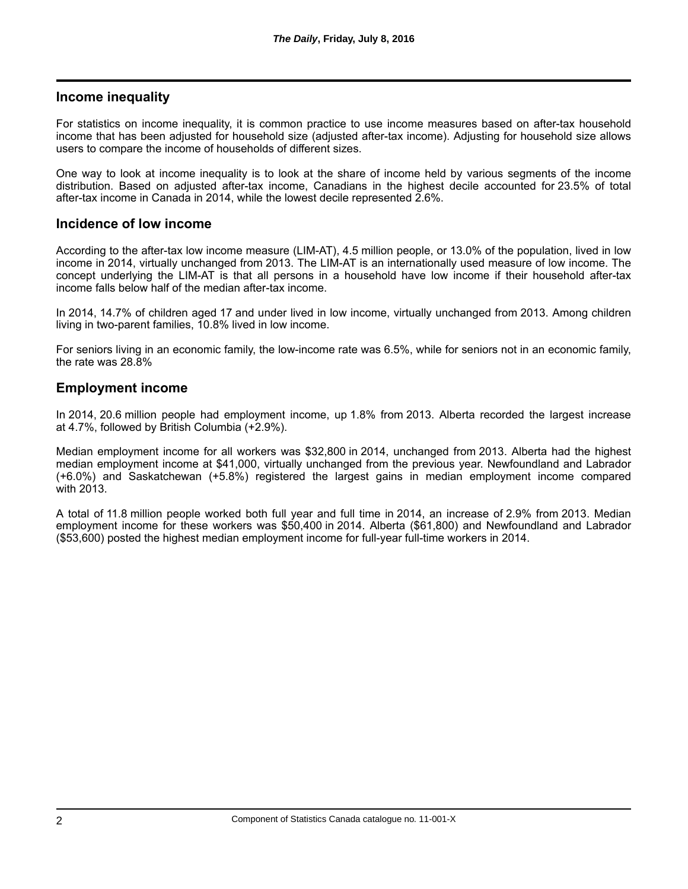## **Income inequality**

For statistics on income inequality, it is common practice to use income measures based on after-tax household income that has been adjusted for household size (adjusted after-tax income). Adjusting for household size allows users to compare the income of households of different sizes.

One way to look at income inequality is to look at the share of income held by various segments of the income distribution. Based on adjusted after-tax income, Canadians in the highest decile accounted for 23.5% of total after-tax income in Canada in 2014, while the lowest decile represented 2.6%.

## **Incidence of low income**

According to the after-tax low income measure (LIM-AT), 4.5 million people, or 13.0% of the population, lived in low income in 2014, virtually unchanged from 2013. The LIM-AT is an internationally used measure of low income. The concept underlying the LIM-AT is that all persons in a household have low income if their household after-tax income falls below half of the median after-tax income.

In 2014, 14.7% of children aged 17 and under lived in low income, virtually unchanged from 2013. Among children living in two-parent families, 10.8% lived in low income.

For seniors living in an economic family, the low-income rate was 6.5%, while for seniors not in an economic family, the rate was 28.8%

## **Employment income**

In 2014, 20.6 million people had employment income, up 1.8% from 2013. Alberta recorded the largest increase at 4.7%, followed by British Columbia (+2.9%).

Median employment income for all workers was \$32,800 in 2014, unchanged from 2013. Alberta had the highest median employment income at \$41,000, virtually unchanged from the previous year. Newfoundland and Labrador (+6.0%) and Saskatchewan (+5.8%) registered the largest gains in median employment income compared with 2013.

A total of 11.8 million people worked both full year and full time in 2014, an increase of 2.9% from 2013. Median employment income for these workers was \$50,400 in 2014. Alberta (\$61,800) and Newfoundland and Labrador (\$53,600) posted the highest median employment income for full-year full-time workers in 2014.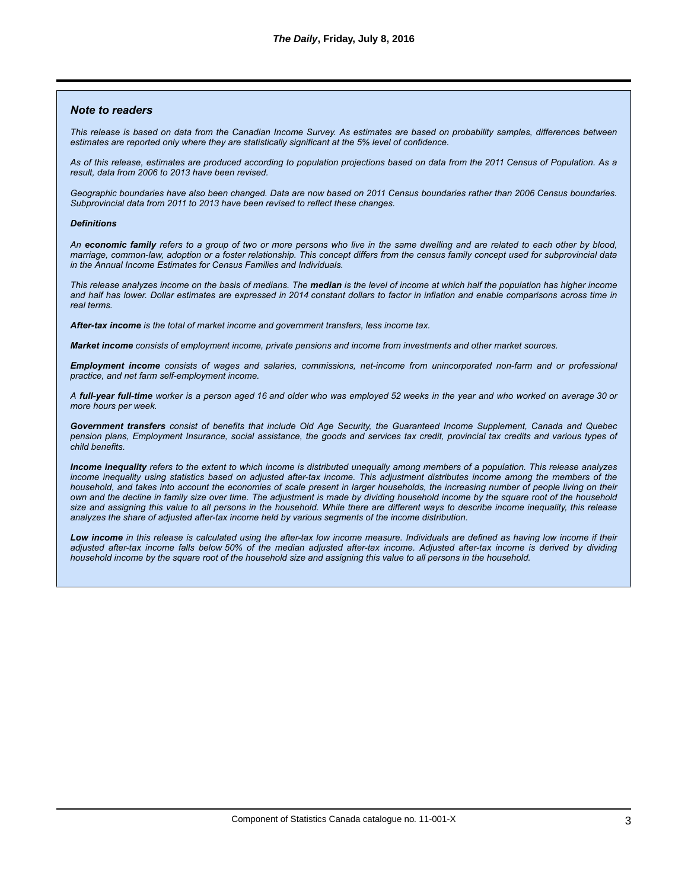#### *Note to readers*

*This release is based on data from the Canadian Income Survey. As estimates are based on probability samples, differences between estimates are reported only where they are statistically significant at the 5% level of confidence.*

*As of this release, estimates are produced according to population projections based on data from the 2011 Census of Population. As a result, data from 2006 to 2013 have been revised.*

*Geographic boundaries have also been changed. Data are now based on 2011 Census boundaries rather than 2006 Census boundaries. Subprovincial data from 2011 to 2013 have been revised to reflect these changes.*

#### *Definitions*

*An economic family refers to a group of two or more persons who live in the same dwelling and are related to each other by blood, marriage, common-law, adoption or a foster relationship. This concept differs from the census family concept used for subprovincial data in the Annual Income Estimates for Census Families and Individuals.*

*This release analyzes income on the basis of medians. The median is the level of income at which half the population has higher income and half has lower. Dollar estimates are expressed in 2014 constant dollars to factor in inflation and enable comparisons across time in real terms.*

*After-tax income is the total of market income and government transfers, less income tax.*

*Market income consists of employment income, private pensions and income from investments and other market sources.*

*Employment income consists of wages and salaries, commissions, net-income from unincorporated non-farm and or professional practice, and net farm self-employment income.*

*A full-year full-time worker is a person aged 16 and older who was employed 52 weeks in the year and who worked on average 30 or more hours per week.*

*Government transfers consist of benefits that include Old Age Security, the Guaranteed Income Supplement, Canada and Quebec pension plans, Employment Insurance, social assistance, the goods and services tax credit, provincial tax credits and various types of child benefits.*

*Income inequality refers to the extent to which income is distributed unequally among members of a population. This release analyzes income inequality using statistics based on adjusted after-tax income. This adjustment distributes income among the members of the household, and takes into account the economies of scale present in larger households, the increasing number of people living on their own and the decline in family size over time. The adjustment is made by dividing household income by the square root of the household size and assigning this value to all persons in the household. While there are different ways to describe income inequality, this release analyzes the share of adjusted after-tax income held by various segments of the income distribution.*

*Low income in this release is calculated using the after-tax low income measure. Individuals are defined as having low income if their adjusted after-tax income falls below 50% of the median adjusted after-tax income. Adjusted after-tax income is derived by dividing household income by the square root of the household size and assigning this value to all persons in the household.*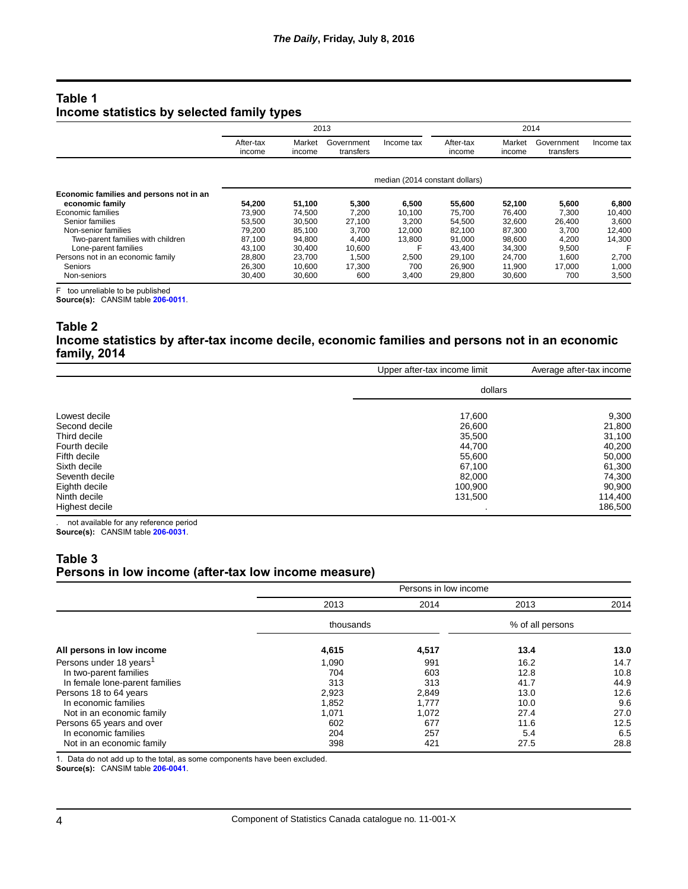## **Table 1 Income statistics by selected family types**

|                                         | 2013                           |                  |                         | 2014       |                     |                  |                         |            |
|-----------------------------------------|--------------------------------|------------------|-------------------------|------------|---------------------|------------------|-------------------------|------------|
|                                         | After-tax<br>income            | Market<br>income | Government<br>transfers | Income tax | After-tax<br>income | Market<br>income | Government<br>transfers | Income tax |
|                                         | median (2014 constant dollars) |                  |                         |            |                     |                  |                         |            |
| Economic families and persons not in an |                                |                  |                         |            |                     |                  |                         |            |
| economic family                         | 54,200                         | 51,100           | 5,300                   | 6,500      | 55,600              | 52,100           | 5,600                   | 6,800      |
| Economic families                       | 73.900                         | 74,500           | 7.200                   | 10,100     | 75,700              | 76,400           | 7,300                   | 10,400     |
| Senior families                         | 53,500                         | 30,500           | 27.100                  | 3,200      | 54,500              | 32,600           | 26,400                  | 3,600      |
| Non-senior families                     | 79.200                         | 85,100           | 3.700                   | 12.000     | 82,100              | 87,300           | 3.700                   | 12,400     |
| Two-parent families with children       | 87,100                         | 94,800           | 4,400                   | 13,800     | 91,000              | 98,600           | 4,200                   | 14,300     |
| Lone-parent families                    | 43.100                         | 30.400           | 10.600                  |            | 43.400              | 34,300           | 9,500                   |            |
| Persons not in an economic family       | 28,800                         | 23,700           | 1,500                   | 2,500      | 29,100              | 24,700           | 1,600                   | 2,700      |
| Seniors                                 | 26,300                         | 10.600           | 17.300                  | 700        | 26,900              | 11.900           | 17.000                  | 1,000      |
| Non-seniors                             | 30.400                         | 30,600           | 600                     | 3,400      | 29,800              | 30.600           | 700                     | 3,500      |

F too unreliable to be published

**Source(s):** CANSIM table **[206-0011](http://www5.statcan.gc.ca/cansim/a03?lang=eng&pattern=206-0011&p2=31)**.

### **Table 2 Income statistics by after-tax income decile, economic families and persons not in an economic family, 2014**

|                | Upper after-tax income limit | Average after-tax income |  |  |
|----------------|------------------------------|--------------------------|--|--|
|                | dollars                      |                          |  |  |
| Lowest decile  | 17,600                       | 9,300                    |  |  |
| Second decile  | 26,600                       | 21,800                   |  |  |
| Third decile   | 35,500                       | 31,100                   |  |  |
| Fourth decile  | 44.700                       | 40,200                   |  |  |
| Fifth decile   | 55.600                       | 50,000                   |  |  |
| Sixth decile   | 67,100                       | 61,300                   |  |  |
| Seventh decile | 82.000                       | 74,300                   |  |  |
| Eighth decile  | 100,900                      | 90,900                   |  |  |
| Ninth decile   | 131,500                      | 114,400                  |  |  |
| Highest decile |                              | 186,500                  |  |  |

. not available for any reference period **Source(s):** CANSIM table **[206-0031](http://www5.statcan.gc.ca/cansim/a03?lang=eng&pattern=206-0031&p2=31)**.

## **Table 3 Persons in low income (after-tax low income measure)**

|                                     | Persons in low income |       |                  |      |  |
|-------------------------------------|-----------------------|-------|------------------|------|--|
|                                     | 2013                  | 2014  | 2013             | 2014 |  |
|                                     | thousands             |       | % of all persons |      |  |
| All persons in low income           | 4,615                 | 4,517 | 13.4             | 13.0 |  |
| Persons under 18 years <sup>1</sup> | 1,090                 | 991   | 16.2             | 14.7 |  |
| In two-parent families              | 704                   | 603   | 12.8             | 10.8 |  |
| In female lone-parent families      | 313                   | 313   | 41.7             | 44.9 |  |
| Persons 18 to 64 years              | 2,923                 | 2,849 | 13.0             | 12.6 |  |
| In economic families                | 1,852                 | 1.777 | 10.0             | 9.6  |  |
| Not in an economic family           | 1,071                 | 1,072 | 27.4             | 27.0 |  |
| Persons 65 years and over           | 602                   | 677   | 11.6             | 12.5 |  |
| In economic families                | 204                   | 257   | 5.4              | 6.5  |  |
| Not in an economic family           | 398                   | 421   | 27.5             | 28.8 |  |

1. Data do not add up to the total, as some components have been excluded.

**Source(s):** CANSIM table **[206-0041](http://www5.statcan.gc.ca/cansim/a03?lang=eng&pattern=206-0041&p2=31)**.